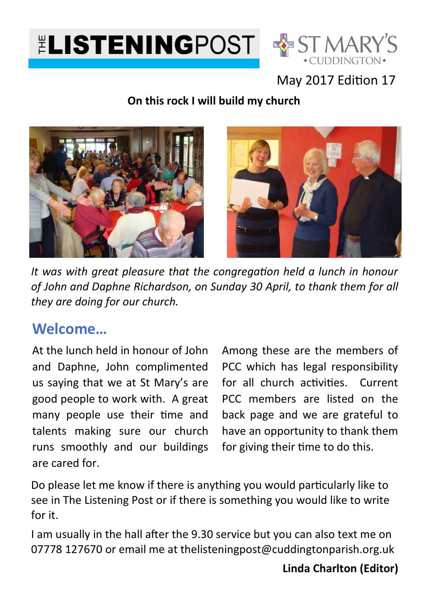



#### May 2017 Edition 17

#### **On this rock I will build my church**





It was with great pleasure that the congregation held a lunch in honour *of John and Daphne Richardson, on Sunday 30 April, to thank them for all they are doing for our church.*

### **Welcome…**

At the lunch held in honour of John and Daphne, John complimented us saying that we at St Mary's are good people to work with. A great many people use their time and talents making sure our church runs smoothly and our buildings are cared for.

Among these are the members of PCC which has legal responsibility for all church activities. Current PCC members are listed on the back page and we are grateful to have an opportunity to thank them for giving their time to do this.

Do please let me know if there is anything you would particularly like to see in The Listening Post or if there is something you would like to write for it.

I am usually in the hall after the 9.30 service but you can also text me on 07778 127670 or email me at thelisteningpost@cuddingtonparish.org.uk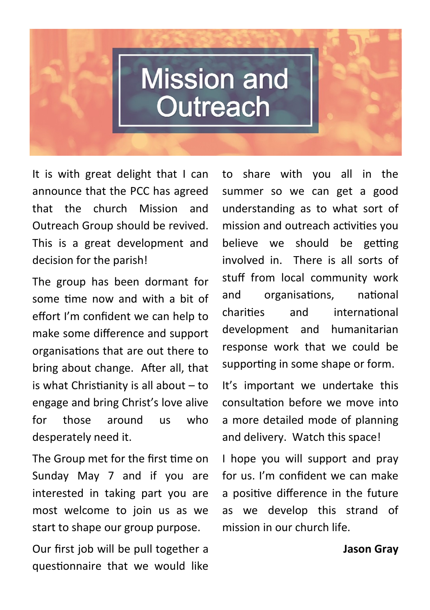# **Mission and** Outreach

It is with great delight that I can announce that the PCC has agreed that the church Mission and Outreach Group should be revived. This is a great development and decision for the parish!

The group has been dormant for some time now and with a bit of effort I'm confident we can help to make some difference and support organisations that are out there to bring about change. After all, that is what Christianity is all about  $-$  to engage and bring Christ's love alive for those around us who desperately need it.

The Group met for the first time on Sunday May 7 and if you are interested in taking part you are most welcome to join us as we start to shape our group purpose.

Our first job will be pull together a questionnaire that we would like

to share with you all in the summer so we can get a good understanding as to what sort of mission and outreach activities you believe we should be getting involved in. There is all sorts of stuff from local community work and organisations, national charities and international development and humanitarian response work that we could be supporting in some shape or form.

It's important we undertake this consultation before we move into a more detailed mode of planning and delivery. Watch this space!

I hope you will support and pray for us. I'm confident we can make a positive difference in the future as we develop this strand of mission in our church life.

**Jason Gray**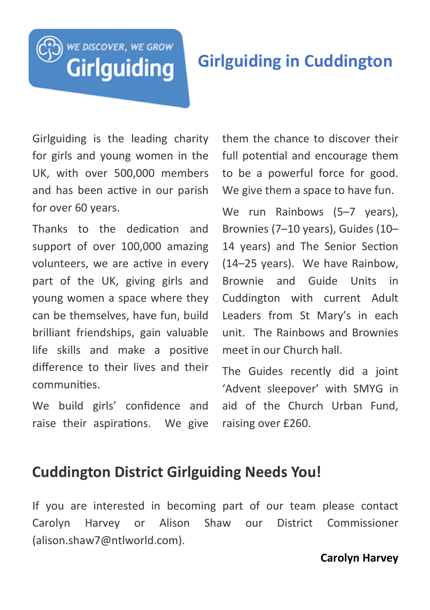# WE DISCOVER, WE GROW **Girlguiding**

# **Girlguiding in Cuddington**

Girlguiding is the leading charity for girls and young women in the UK, with over 500,000 members and has been active in our parish for over 60 years.

Thanks to the dedication and support of over 100,000 amazing volunteers, we are active in every part of the UK, giving girls and young women a space where they can be themselves, have fun, build brilliant friendships, gain valuable life skills and make a positive difference to their lives and their communities.

We build girls' confidence and raise their aspirations. We give them the chance to discover their full potential and encourage them to be a powerful force for good. We give them a space to have fun.

We run Rainbows (5-7 years), Brownies (7–10 years), Guides (10– 14 years) and The Senior Section (14–25 years). We have Rainbow, Brownie and Guide Units in Cuddington with current Adult Leaders from St Mary's in each unit. The Rainbows and Brownies meet in our Church hall.

The Guides recently did a joint 'Advent sleepover' with SMYG in aid of the Church Urban Fund, raising over £260.

#### **Cuddington District Girlguiding Needs You!**

If you are interested in becoming part of our team please contact Carolyn Harvey or Alison Shaw our District Commissioner (alison.shaw7@ntlworld.com).

#### **Carolyn Harvey**